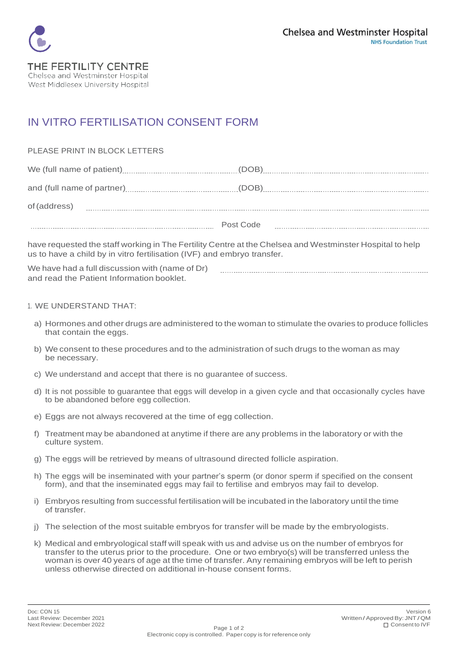

## IN VITRO FERTILISATION CONSENT FORM

## PLEASE PRINT IN BLOCK LETTERS

We (full name of patient) (2000) (DOB) (DOB) (DOB) (DOB) (DOB) (DOB) (DOB) (DOB) (DOB) (DOB) (DOB) (DOB) (DOB) (DOB) (DOB) (DOB) (DOB) (DOB) (DOB) (DOB) (DOB) (DOB) (DOB) (DOB) (DOB) (DOB) (DOB) (DOB) (DOB) (DOB) (DOB) (DO

and (full name of partner) (DOB) of(address) 

 Post Code 

have requested the staff working in The Fertility Centre at the Chelsea and Westminster Hospital to help us to have a child by in vitro fertilisation (IVF) and embryo transfer.

We have had a full discussion with (name of Dr) and read the Patient Information booklet.

## 1. WE UNDERSTAND THAT:

- a) Hormones and other drugs are administered to the woman to stimulate the ovaries to produce follicles that contain the eggs.
- b) We consent to these procedures and to the administration of such drugs to the woman as may be necessary.
- c) We understand and accept that there is no guarantee of success.
- d) It is not possible to guarantee that eggs will develop in a given cycle and that occasionally cycles have to be abandoned before egg collection.
- e) Eggs are not always recovered at the time of egg collection.
- f) Treatment may be abandoned atanytime if there are any problems in the laboratory or with the culture system.
- g) The eggs will be retrieved by means of ultrasound directed follicle aspiration.
- h) The eggs will be inseminated with your partner's sperm (or donor sperm if specified on the consent form), and that the inseminated eggs may fail to fertilise and embryos may fail to develop.
- i) Embryos resulting from successful fertilisation will be incubated in the laboratory until the time of transfer.
- j) The selection of the most suitable embryos for transfer will be made by the embryologists.
- k) Medical and embryological staff will speak with us and advise us on the number of embryos for transfer to the uterus prior to the procedure. One or two embryo(s) will be transferred unless the woman is over 40 years of age at the time of transfer. Any remaining embryos will be left to perish unless otherwise directed on additional in-house consent forms.